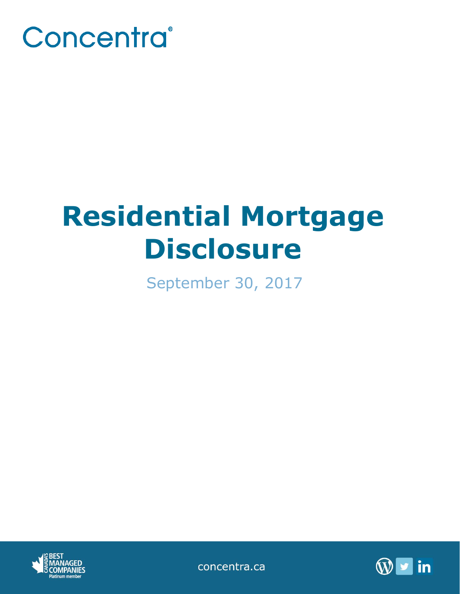

# **Residential Mortgage Disclosure**

September 30, 2017



concentra.ca

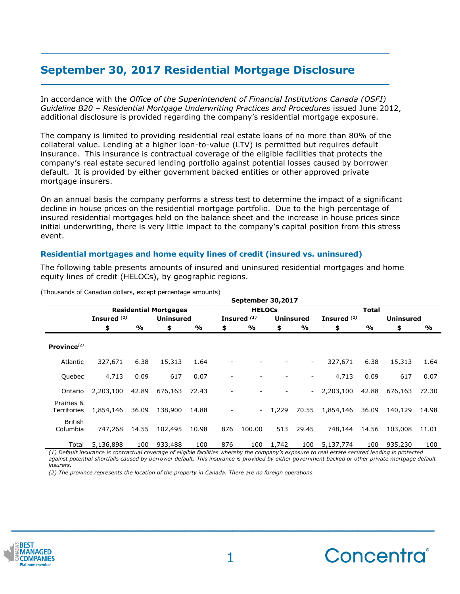## **September 30, 2017 Residential Mortgage Disclosure**

In accordance with the *Office of the Superintendent of Financial Institutions Canada (OSFI) Guideline B20 – Residential Mortgage Underwriting Practices and Procedures* issued June 2012, additional disclosure is provided regarding the company's residential mortgage exposure.

The company is limited to providing residential real estate loans of no more than 80% of the collateral value. Lending at a higher loan-to-value (LTV) is permitted but requires default insurance. This insurance is contractual coverage of the eligible facilities that protects the company's real estate secured lending portfolio against potential losses caused by borrower default. It is provided by either government backed entities or other approved private mortgage insurers.

On an annual basis the company performs a stress test to determine the impact of a significant decline in house prices on the residential mortgage portfolio. Due to the high percentage of insured residential mortgages held on the balance sheet and the increase in house prices since initial underwriting, there is very little impact to the company's capital position from this stress event.

### **Residential mortgages and home equity lines of credit (insured vs. uninsured)**

The following table presents amounts of insured and uninsured residential mortgages and home equity lines of credit (HELOCs), by geographic regions.

|                            |                              |       |                  |       |               | September 30,2017      |          |                          |               |       |                  |               |
|----------------------------|------------------------------|-------|------------------|-------|---------------|------------------------|----------|--------------------------|---------------|-------|------------------|---------------|
|                            | <b>Residential Mortgages</b> |       |                  |       | <b>HELOCs</b> |                        |          |                          | <b>Total</b>  |       |                  |               |
|                            | Insured $(1)$                |       | <b>Uninsured</b> |       |               | Insured <sup>(1)</sup> |          | <b>Uninsured</b>         | Insured $(1)$ |       | <b>Uninsured</b> |               |
|                            | \$                           | %     | \$               | %     | \$            | %                      | \$       | %                        | \$            | %     | \$               | $\frac{1}{2}$ |
| Province $^{(2)}$          |                              |       |                  |       |               |                        |          |                          |               |       |                  |               |
| Atlantic                   | 327,671                      | 6.38  | 15,313           | 1.64  |               |                        |          | $\overline{\phantom{0}}$ | 327,671       | 6.38  | 15,313           | 1.64          |
| Quebec                     | 4,713                        | 0.09  | 617              | 0.07  |               |                        |          | $\overline{\phantom{a}}$ | 4,713         | 0.09  | 617              | 0.07          |
| Ontario                    | 2,203,100                    | 42.89 | 676,163          | 72.43 |               |                        |          | $\sim$                   | 2,203,100     | 42.88 | 676,163          | 72.30         |
| Prairies &<br>Territories  | 1,854,146                    | 36.09 | 138,900          | 14.88 |               |                        | $-1.229$ | 70.55                    | 1,854,146     | 36.09 | 140,129          | 14.98         |
| <b>British</b><br>Columbia | 747,268                      | 14.55 | 102,495          | 10.98 | 876           | 100.00                 | 513      | 29.45                    | 748,144       | 14.56 | 103,008          | 11.01         |
| Total                      | 5,136,898                    | 100   | 933,488          | 100   | 876           | 100                    | 1,742    | 100                      | 5,137,774     | 100   | 935,230          | 100           |

(Thousands of Canadian dollars, except percentage amounts)

*(1) Default insurance is contractual coverage of eligible facilities whereby the company's exposure to real estate secured lending is protected*  against potential shortfalls caused by borrower default. This insurance is provided by either government backed or other private mortgage default *insurers.*

*(2) The province represents the location of the property in Canada. There are no foreign operations.*



**\_\_\_\_\_\_\_\_\_\_\_\_\_\_\_\_\_\_\_\_\_\_\_\_\_\_\_\_\_\_\_\_\_\_\_\_\_\_\_\_\_\_\_\_**